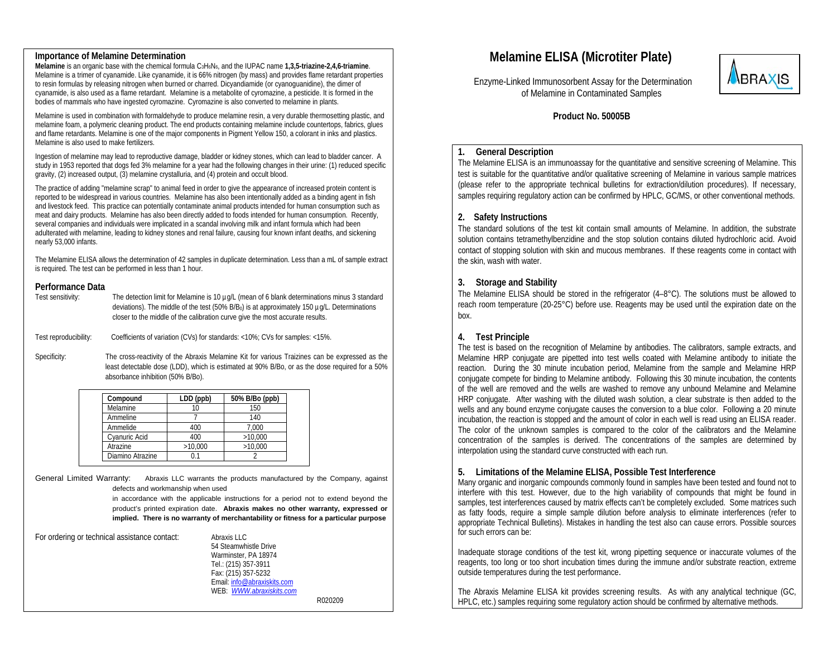#### **Importance of Melamine Determination**

**Melamine** is an organic base with the chemical formula C3H6N6, and the IUPAC name **1,3,5-triazine-2,4,6-triamine**. Melamine is a trimer of cyanamide. Like cyanamide, it is 66% nitrogen (by mass) and provides flame retardant properties to resin formulas by releasing nitrogen when burned or charred. Dicyandiamide (or cyanoguanidine), the dimer of cyanamide, is also used as a flame retardant. Melamine is a metabolite of cyromazine, a pesticide. It is formed in the bodies of mammals who have ingested cyromazine. Cyromazine is also converted to melamine in plants.

Melamine is used in combination with formaldehyde to produce melamine resin, a very durable thermosetting plastic, and melamine foam, a polymeric cleaning product. The end products containing melamine include countertops, fabrics, glues and flame retardants. Melamine is one of the major components in Pigment Yellow 150, a colorant in inks and plastics. Melamine is also used to make fertilizers.

Ingestion of melamine may lead to reproductive damage, bladder or kidney stones, which can lead to bladder cancer. A study in 1953 reported that dogs fed 3% melamine for a year had the following changes in their urine: (1) reduced specific gravity, (2) increased output, (3) melamine crystalluria, and (4) protein and occult blood.

The practice of adding "melamine scrap" to animal feed in order to give the appearance of increased protein content is reported to be widespread in various countries. Melamine has also been intentionally added as a binding agent in fish and livestock feed. This practice can potentially contaminate animal products intended for human consumption such as meat and dairy products. Melamine has also been directly added to foods intended for human consumption. Recently, several companies and individuals were implicated in a scandal involving milk and infant formula which had been adulterated with melamine, leading to kidney stones and renal failure, causing four known infant deaths, and sickening nearly 53,000 infants.

The Melamine ELISA allows the determination of 42 samples in duplicate determination. Less than a mL of sample extract is required. The test can be performed in less than 1 hour.

# **Performance Data**

| Test sensitivity: | The detection limit for Melamine is 10 µg/L (mean of 6 blank determinations minus 3 standard         |
|-------------------|------------------------------------------------------------------------------------------------------|
|                   | deviations). The middle of the test (50% $B/B0$ ) is at approximately 150 $\mu q/L$ . Determinations |
|                   | closer to the middle of the calibration curve give the most accurate results.                        |

Test reproducibility: Coefficients of variation (CVs) for standards: <10%; CVs for samples: <15%.

Specificity: The cross-reactivity of the Abraxis Melamine Kit for various Traizines can be expressed as the least detectable dose (LDD), which is estimated at 90% B/Bo, or as the dose required for a 50% absorbance inhibition (50% B/Bo).

| Compound         | LDD (ppb) | 50% B/Bo (ppb) |
|------------------|-----------|----------------|
| Melamine         |           | 150            |
| Ammeline         |           | 140            |
| Ammelide         | 400       | 7,000          |
| Cyanuric Acid    | 400       | >10,000        |
| Atrazine         | >10,000   | >10.000        |
| Diamino Atrazine |           |                |

General Limited Warranty: Abraxis LLC warrants the products manufactured by the Company, against defects and workmanship when used

> in accordance with the applicable instructions for a period not to extend beyond the product's printed expiration date. **Abraxis makes no other warranty, expressed or implied. There is no warranty of merchantability or fitness for a particular purpose**

| For ordering or technical assistance contact: | Abraxis LLC                 |         |
|-----------------------------------------------|-----------------------------|---------|
|                                               | 54 Steamwhistle Drive       |         |
|                                               | Warminster, PA 18974        |         |
|                                               | Tel.: (215) 357-3911        |         |
|                                               | Fax: (215) 357-5232         |         |
|                                               | Email: info@abraxiskits.com |         |
|                                               | WEB: WWW.abraxiskits.com    |         |
|                                               |                             | R020209 |

# **Melamine ELISA (Microtiter Plate)**

 Enzyme-Linked Immunosorbent Assay for the Determination of Melamine in Contaminated Samples



 **Product No. 50005B** 

#### **1.General Description**

The Melamine ELISA is an immunoassay for the quantitative and sensitive screening of Melamine. This test is suitable for the quantitative and/or qualitative screening of Melamine in various sample matrices (please refer to the appropriate technical bulletins for extraction/dilution procedures). If necessary, samples requiring regulatory action can be confirmed by HPLC, GC/MS, or other conventional methods.

#### **2. Safety Instructions**

The standard solutions of the test kit contain small amounts of Melamine. In addition, the substrate solution contains tetramethylbenzidine and the stop solution contains diluted hydrochloric acid. Avoid contact of stopping solution with skin and mucous membranes. If these reagents come in contact with the skin, wash with water.

# **3. Storage and Stability**

The Melamine ELISA should be stored in the refrigerator (4–8°C). The solutions must be allowed to reach room temperature (20-25°C) before use. Reagents may be used until the expiration date on the box.

### **4. Test Principle**

The test is based on the recognition of Melamine by antibodies. The calibrators, sample extracts, and Melamine HRP conjugate are pipetted into test wells coated with Melamine antibody to initiate the reaction. During the 30 minute incubation period, Melamine from the sample and Melamine HRP conjugate compete for binding to Melamine antibody. Following this 30 minute incubation, the contents of the well are removed and the wells are washed to remove any unbound Melamine and Melamine HRP conjugate. After washing with the diluted wash solution, a clear substrate is then added to the wells and any bound enzyme conjugate causes the conversion to a blue color. Following a 20 minute incubation, the reaction is stopped and the amount of color in each well is read using an ELISA reader. The color of the unknown samples is compared to the color of the calibrators and the Melamine concentration of the samples is derived. The concentrations of the samples are determined by interpolation using the standard curve constructed with each run.

#### **5. Limitations of the Melamine ELISA, Possible Test Interference**

Many organic and inorganic compounds commonly found in samples have been tested and found not to interfere with this test. However, due to the high variability of compounds that might be found in samples, test interferences caused by matrix effects can't be completely excluded. Some matrices such as fatty foods, require a simple sample dilution before analysis to eliminate interferences (refer to appropriate Technical Bulletins). Mistakes in handling the test also can cause errors. Possible sources for such errors can be:

Inadequate storage conditions of the test kit, wrong pipetting sequence or inaccurate volumes of the reagents, too long or too short incubation times during the immune and/or substrate reaction, extreme outside temperatures during the test performance.

The Abraxis Melamine ELISA kit provides screening results. As with any analytical technique (GC, HPLC, etc.) samples requiring some regulatory action should be confirmed by alternative methods.